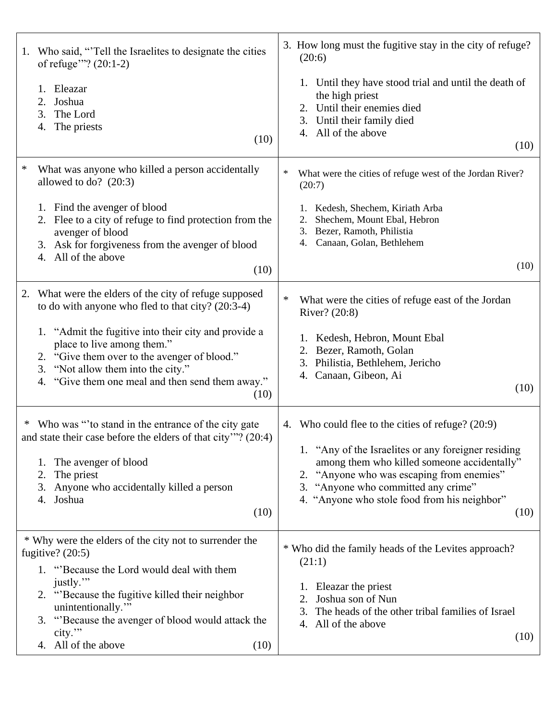| 1.                                                                           | Who said, "Tell the Israelites to designate the cities<br>of refuge"? $(20:1-2)$                                                                                                                                                                |        | 3. How long must the fugitive stay in the city of refuge?<br>(20:6)                                                                                                                                                                                                                                 |
|------------------------------------------------------------------------------|-------------------------------------------------------------------------------------------------------------------------------------------------------------------------------------------------------------------------------------------------|--------|-----------------------------------------------------------------------------------------------------------------------------------------------------------------------------------------------------------------------------------------------------------------------------------------------------|
|                                                                              | Eleazar<br>1.<br>Joshua<br>2.<br>3. The Lord<br>The priests<br>4.<br>(10)                                                                                                                                                                       |        | 1. Until they have stood trial and until the death of<br>the high priest<br>2. Until their enemies died<br>3. Until their family died<br>4. All of the above<br>(10)                                                                                                                                |
| $\ast$                                                                       | What was anyone who killed a person accidentally<br>allowed to do? $(20:3)$                                                                                                                                                                     | ∗      | What were the cities of refuge west of the Jordan River?<br>(20:7)                                                                                                                                                                                                                                  |
|                                                                              | 1. Find the avenger of blood<br>2. Flee to a city of refuge to find protection from the<br>avenger of blood<br>3. Ask for forgiveness from the avenger of blood<br>4. All of the above                                                          |        | 1. Kedesh, Shechem, Kiriath Arba<br>Shechem, Mount Ebal, Hebron<br>3. Bezer, Ramoth, Philistia<br>Canaan, Golan, Bethlehem<br>4.                                                                                                                                                                    |
|                                                                              | (10)                                                                                                                                                                                                                                            |        | (10)                                                                                                                                                                                                                                                                                                |
| 2.                                                                           | What were the elders of the city of refuge supposed<br>to do with anyone who fled to that city? $(20:3-4)$                                                                                                                                      | $\ast$ | What were the cities of refuge east of the Jordan<br>River? (20:8)                                                                                                                                                                                                                                  |
|                                                                              | 1. "Admit the fugitive into their city and provide a<br>place to live among them."<br>2. "Give them over to the avenger of blood."<br>3. "Not allow them into the city."<br>4. "Give them one meal and then send them away."<br>(10)            |        | 1. Kedesh, Hebron, Mount Ebal<br>2. Bezer, Ramoth, Golan<br>3. Philistia, Bethlehem, Jericho<br>4. Canaan, Gibeon, Ai<br>(10)                                                                                                                                                                       |
|                                                                              | * Who was "to stand in the entrance of the city gate<br>and state their case before the elders of that city"? (20:4)<br>The avenger of blood<br>1.<br>The priest<br>2.<br>Anyone who accidentally killed a person<br>3.<br>Joshua<br>4.<br>(10) |        | 4. Who could flee to the cities of refuge? (20:9)<br>1. "Any of the Israelites or any foreigner residing<br>among them who killed someone accidentally"<br>2. "Anyone who was escaping from enemies"<br>3. "Anyone who committed any crime"<br>4. "Anyone who stole food from his neighbor"<br>(10) |
| * Why were the elders of the city not to surrender the<br>fugitive? $(20:5)$ |                                                                                                                                                                                                                                                 |        | * Who did the family heads of the Levites approach?<br>(21:1)                                                                                                                                                                                                                                       |
|                                                                              | 1. "Because the Lord would deal with them<br>justly."<br>2. "Because the fugitive killed their neighbor<br>unintentionally."<br>3. "Because the avenger of blood would attack the<br>city."<br>4. All of the above<br>(10)                      |        | 1. Eleazar the priest<br>Joshua son of Nun<br>2.<br>The heads of the other tribal families of Israel<br>3.<br>4. All of the above<br>(10)                                                                                                                                                           |
|                                                                              |                                                                                                                                                                                                                                                 |        |                                                                                                                                                                                                                                                                                                     |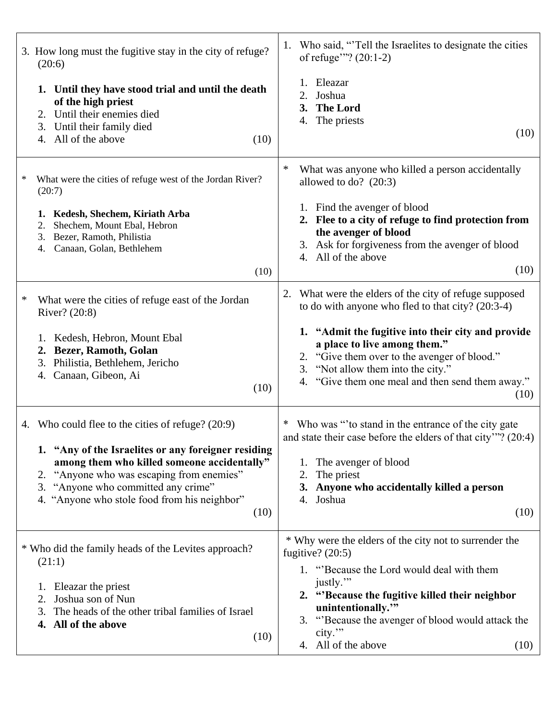|   | 3. How long must the fugitive stay in the city of refuge?<br>(20:6)                                                                                                                                                                                                                                       | Who said, "Tell the Israelites to designate the cities<br>1.<br>of refuge"? (20:1-2)                                                                                                                                                                                                                       |
|---|-----------------------------------------------------------------------------------------------------------------------------------------------------------------------------------------------------------------------------------------------------------------------------------------------------------|------------------------------------------------------------------------------------------------------------------------------------------------------------------------------------------------------------------------------------------------------------------------------------------------------------|
|   | 1. Until they have stood trial and until the death<br>of the high priest<br>Until their enemies died<br>2.<br>3. Until their family died<br>All of the above<br>(10)<br>4.                                                                                                                                | 1. Eleazar<br>Joshua<br>2.<br>3. The Lord<br>4. The priests<br>(10)                                                                                                                                                                                                                                        |
| ∗ | What were the cities of refuge west of the Jordan River?<br>(20:7)<br>1. Kedesh, Shechem, Kiriath Arba<br>Shechem, Mount Ebal, Hebron<br>2.<br>Bezer, Ramoth, Philistia<br>3.<br>Canaan, Golan, Bethlehem<br>4.                                                                                           | ∗<br>What was anyone who killed a person accidentally<br>allowed to do? $(20:3)$<br>1. Find the avenger of blood<br>2. Flee to a city of refuge to find protection from<br>the avenger of blood<br>3. Ask for forgiveness from the avenger of blood<br>4. All of the above<br>(10)                         |
|   | (10)                                                                                                                                                                                                                                                                                                      |                                                                                                                                                                                                                                                                                                            |
| ∗ | What were the cities of refuge east of the Jordan<br>River? (20:8)                                                                                                                                                                                                                                        | What were the elders of the city of refuge supposed<br>2.<br>to do with anyone who fled to that city? (20:3-4)                                                                                                                                                                                             |
|   | Kedesh, Hebron, Mount Ebal<br>1.<br>Bezer, Ramoth, Golan<br>2.<br>3. Philistia, Bethlehem, Jericho<br>4. Canaan, Gibeon, Ai<br>(10)                                                                                                                                                                       | 1. "Admit the fugitive into their city and provide<br>a place to live among them."<br>2. "Give them over to the avenger of blood."<br>3. "Not allow them into the city."<br>4. "Give them one meal and then send them away."<br>(10)                                                                       |
|   | 4. Who could flee to the cities of refuge? (20:9)<br>1. "Any of the Israelites or any foreigner residing<br>among them who killed someone accidentally"<br>"Anyone who was escaping from enemies"<br>2.<br>"Anyone who committed any crime"<br>3.<br>4. "Anyone who stole food from his neighbor"<br>(10) | * Who was "to stand in the entrance of the city gate<br>and state their case before the elders of that city"? (20:4)<br>1. The avenger of blood<br>The priest<br>2.<br>3. Anyone who accidentally killed a person<br>4. Joshua<br>(10)                                                                     |
|   | * Who did the family heads of the Levites approach?<br>(21:1)<br>1. Eleazar the priest<br>Joshua son of Nun<br>2.<br>The heads of the other tribal families of Israel<br>3.<br>4. All of the above<br>(10)                                                                                                | * Why were the elders of the city not to surrender the<br>fugitive? $(20:5)$<br>1. "Because the Lord would deal with them<br>justly."<br>2. "Because the fugitive killed their neighbor<br>unintentionally."<br>3. "Because the avenger of blood would attack the<br>city."<br>4. All of the above<br>(10) |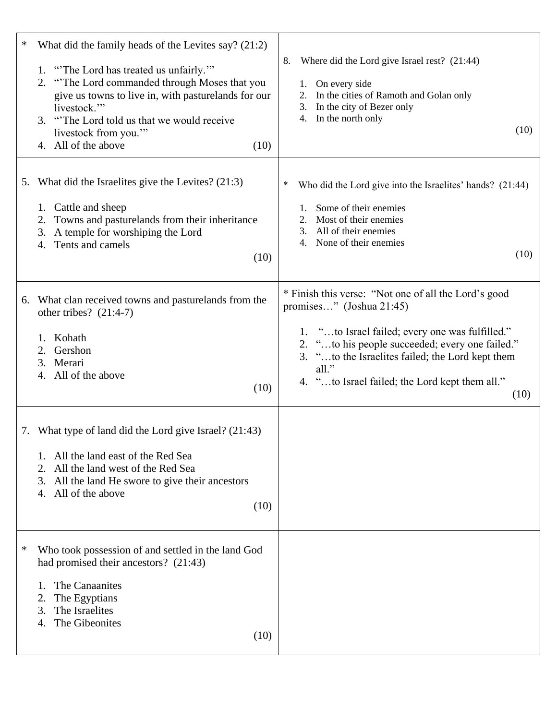| * | What did the family heads of the Levites say? (21:2)<br>1. "The Lord has treated us unfairly."<br>2. "The Lord commanded through Moses that you<br>give us towns to live in, with pasturelands for our<br>livestock."<br>3. "The Lord told us that we would receive<br>livestock from you."<br>4. All of the above<br>(10) | Where did the Lord give Israel rest? (21:44)<br>8.<br>1. On every side<br>In the cities of Ramoth and Golan only<br>2.<br>In the city of Bezer only<br>3.<br>In the north only<br>4.<br>(10)                                                                                                                        |
|---|----------------------------------------------------------------------------------------------------------------------------------------------------------------------------------------------------------------------------------------------------------------------------------------------------------------------------|---------------------------------------------------------------------------------------------------------------------------------------------------------------------------------------------------------------------------------------------------------------------------------------------------------------------|
|   | 5. What did the Israelites give the Levites? (21:3)<br>1. Cattle and sheep<br>Towns and pasturelands from their inheritance<br>2.<br>A temple for worshiping the Lord<br>3.<br>Tents and camels<br>4.<br>(10)                                                                                                              | ∗<br>Who did the Lord give into the Israelites' hands? (21:44)<br>Some of their enemies<br>Most of their enemies<br>2.<br>All of their enemies<br>3.<br>None of their enemies<br>4.<br>(10)                                                                                                                         |
|   | 6. What clan received towns and pasturelands from the<br>other tribes? $(21:4-7)$<br>Kohath<br>1.<br>Gershon<br>2.<br>3. Merari<br>4. All of the above<br>(10)                                                                                                                                                             | * Finish this verse: "Not one of all the Lord's good<br>promises" (Joshua 21:45)<br>1. "to Israel failed; every one was fulfilled."<br>2. "to his people succeeded; every one failed."<br>"to the Israelites failed; the Lord kept them<br>3.<br>$all.$ "<br>4. "to Israel failed; the Lord kept them all."<br>(10) |
|   | 7. What type of land did the Lord give Israel? (21:43)<br>1. All the land east of the Red Sea<br>All the land west of the Red Sea<br>2.<br>All the land He swore to give their ancestors<br>3.<br>All of the above<br>4.<br>(10)                                                                                           |                                                                                                                                                                                                                                                                                                                     |
| ∗ | Who took possession of and settled in the land God<br>had promised their ancestors? (21:43)<br>The Canaanites<br>$\mathbf{1}$<br>The Egyptians<br>2.<br>The Israelites<br>3.<br>The Gibeonites<br>4.<br>(10)                                                                                                               |                                                                                                                                                                                                                                                                                                                     |